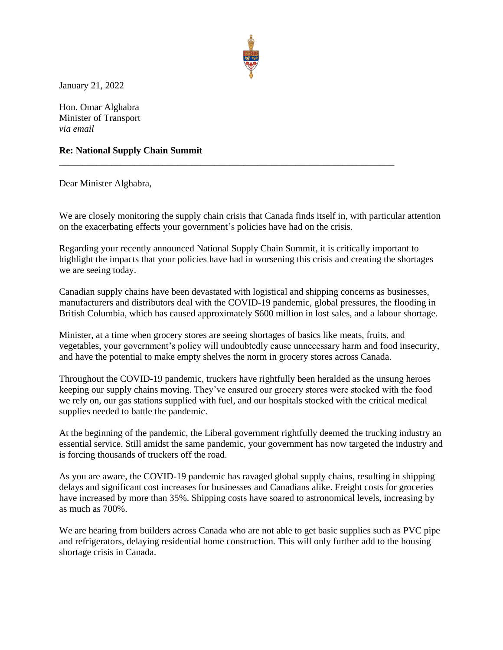

January 21, 2022

Hon. Omar Alghabra Minister of Transport *via email*

## **Re: National Supply Chain Summit**

Dear Minister Alghabra,

We are closely monitoring the supply chain crisis that Canada finds itself in, with particular attention on the exacerbating effects your government's policies have had on the crisis.

\_\_\_\_\_\_\_\_\_\_\_\_\_\_\_\_\_\_\_\_\_\_\_\_\_\_\_\_\_\_\_\_\_\_\_\_\_\_\_\_\_\_\_\_\_\_\_\_\_\_\_\_\_\_\_\_\_\_\_\_\_\_\_\_\_\_\_\_\_\_\_

Regarding your recently announced National Supply Chain Summit, it is critically important to highlight the impacts that your policies have had in worsening this crisis and creating the shortages we are seeing today.

Canadian supply chains have been devastated with logistical and shipping concerns as businesses, manufacturers and distributors deal with the COVID-19 pandemic, global pressures, the flooding in British Columbia, which has caused approximately \$600 million in lost sales, and a labour shortage.

Minister, at a time when grocery stores are seeing shortages of basics like meats, fruits, and vegetables, your government's policy will undoubtedly cause unnecessary harm and food insecurity, and have the potential to make empty shelves the norm in grocery stores across Canada.

Throughout the COVID-19 pandemic, truckers have rightfully been heralded as the unsung heroes keeping our supply chains moving. They've ensured our grocery stores were stocked with the food we rely on, our gas stations supplied with fuel, and our hospitals stocked with the critical medical supplies needed to battle the pandemic.

At the beginning of the pandemic, the Liberal government rightfully deemed the trucking industry an essential service. Still amidst the same pandemic, your government has now targeted the industry and is forcing thousands of truckers off the road.

As you are aware, the COVID-19 pandemic has ravaged global supply chains, resulting in shipping delays and significant cost increases for businesses and Canadians alike. Freight costs for groceries have increased by more than 35%. Shipping costs have soared to astronomical levels, increasing by as much as 700%.

We are hearing from builders across Canada who are not able to get basic supplies such as PVC pipe and refrigerators, delaying residential home construction. This will only further add to the housing shortage crisis in Canada.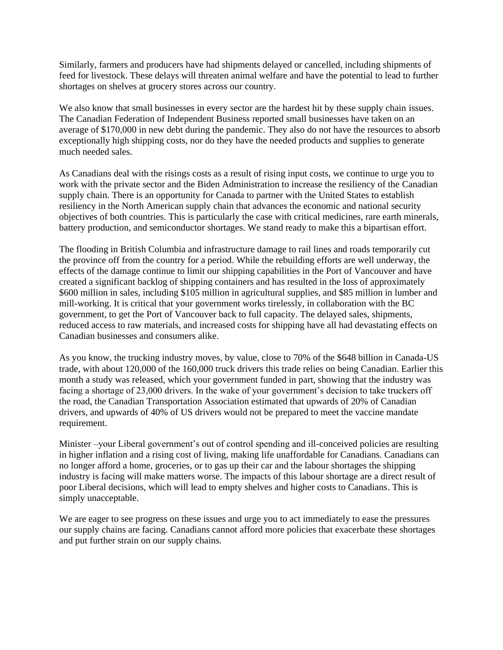Similarly, farmers and producers have had shipments delayed or cancelled, including shipments of feed for livestock. These delays will threaten animal welfare and have the potential to lead to further shortages on shelves at grocery stores across our country.

We also know that small businesses in every sector are the hardest hit by these supply chain issues. The Canadian Federation of Independent Business reported small businesses have taken on an average of \$170,000 in new debt during the pandemic. They also do not have the resources to absorb exceptionally high shipping costs, nor do they have the needed products and supplies to generate much needed sales.

As Canadians deal with the risings costs as a result of rising input costs, we continue to urge you to work with the private sector and the Biden Administration to increase the resiliency of the Canadian supply chain. There is an opportunity for Canada to partner with the United States to establish resiliency in the North American supply chain that advances the economic and national security objectives of both countries. This is particularly the case with critical medicines, rare earth minerals, battery production, and semiconductor shortages. We stand ready to make this a bipartisan effort.

The flooding in British Columbia and infrastructure damage to rail lines and roads temporarily cut the province off from the country for a period. While the rebuilding efforts are well underway, the effects of the damage continue to limit our shipping capabilities in the Port of Vancouver and have created a significant backlog of shipping containers and has resulted in the loss of approximately \$600 million in sales, including \$105 million in agricultural supplies, and \$85 million in lumber and mill-working. It is critical that your government works tirelessly, in collaboration with the BC government, to get the Port of Vancouver back to full capacity. The delayed sales, shipments, reduced access to raw materials, and increased costs for shipping have all had devastating effects on Canadian businesses and consumers alike.

As you know, the trucking industry moves, by value, close to 70% of the \$648 billion in Canada-US trade, with about 120,000 of the 160,000 truck drivers this trade relies on being Canadian. Earlier this month a study was released, which your government funded in part, showing that the industry was facing a shortage of 23,000 drivers. In the wake of your government's decision to take truckers off the road, the Canadian Transportation Association estimated that upwards of 20% of Canadian drivers, and upwards of 40% of US drivers would not be prepared to meet the vaccine mandate requirement.

Minister –your Liberal government's out of control spending and ill-conceived policies are resulting in higher inflation and a rising cost of living, making life unaffordable for Canadians. Canadians can no longer afford a home, groceries, or to gas up their car and the labour shortages the shipping industry is facing will make matters worse. The impacts of this labour shortage are a direct result of poor Liberal decisions, which will lead to empty shelves and higher costs to Canadians. This is simply unacceptable.

We are eager to see progress on these issues and urge you to act immediately to ease the pressures our supply chains are facing. Canadians cannot afford more policies that exacerbate these shortages and put further strain on our supply chains.